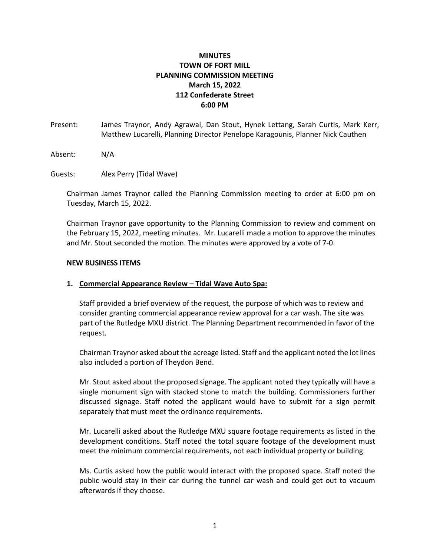## **MINUTES TOWN OF FORT MILL PLANNING COMMISSION MEETING March 15, 2022 112 Confederate Street 6:00 PM**

- Present: James Traynor, Andy Agrawal, Dan Stout, Hynek Lettang, Sarah Curtis, Mark Kerr, Matthew Lucarelli, Planning Director Penelope Karagounis, Planner Nick Cauthen
- Absent: N/A
- Guests: Alex Perry (Tidal Wave)

Chairman James Traynor called the Planning Commission meeting to order at 6:00 pm on Tuesday, March 15, 2022.

Chairman Traynor gave opportunity to the Planning Commission to review and comment on the February 15, 2022, meeting minutes. Mr. Lucarelli made a motion to approve the minutes and Mr. Stout seconded the motion. The minutes were approved by a vote of 7-0.

## **NEW BUSINESS ITEMS**

## **1. Commercial Appearance Review – Tidal Wave Auto Spa:**

Staff provided a brief overview of the request, the purpose of which was to review and consider granting commercial appearance review approval for a car wash. The site was part of the Rutledge MXU district. The Planning Department recommended in favor of the request.

Chairman Traynor asked about the acreage listed. Staff and the applicant noted the lot lines also included a portion of Theydon Bend.

Mr. Stout asked about the proposed signage. The applicant noted they typically will have a single monument sign with stacked stone to match the building. Commissioners further discussed signage. Staff noted the applicant would have to submit for a sign permit separately that must meet the ordinance requirements.

Mr. Lucarelli asked about the Rutledge MXU square footage requirements as listed in the development conditions. Staff noted the total square footage of the development must meet the minimum commercial requirements, not each individual property or building.

Ms. Curtis asked how the public would interact with the proposed space. Staff noted the public would stay in their car during the tunnel car wash and could get out to vacuum afterwards if they choose.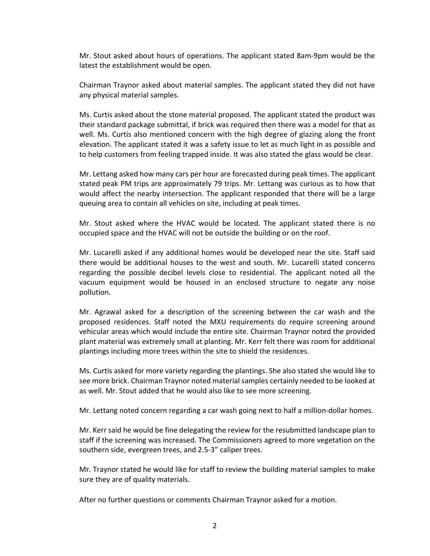Mr. Stout asked about hours of operations. The applicant stated 8am-9pm would be the latest the establishment would be open.

Chairman Traynor asked about material samples. The applicant stated they did not have any physical material samples.

Ms. Curtis asked about the stone material proposed. The applicant stated the product was their standard package submittal, if brick was required then there was a model for that as well. Ms. Curtis also mentioned concern with the high degree of glazing along the front elevation. The applicant stated it was a safety issue to let as much light in as possible and to help customers from feeling trapped inside. It was also stated the glass would be clear.

Mr. Lettang asked how many cars per hour are forecasted during peak times. The applicant stated peak PM trips are approximately 79 trips. Mr. Lettang was curious as to how that would affect the nearby intersection. The applicant responded that there will be a large queuing area to contain all vehicles on site, including at peak times.

Mr. Stout asked where the HVAC would be located. The applicant stated there is no occupied space and the HVAC will not be outside the building or on the roof.

Mr. Lucarelli asked if any additional homes would be developed near the site. Staff said there would be additional houses to the west and south. Mr. Lucarelli stated concerns regarding the possible decibel levels close to residential. The applicant noted all the vacuum equipment would be housed in an enclosed structure to negate any noise pollution.

Mr. Agrawal asked for a description of the screening between the car wash and the proposed residences. Staff noted the MXU requirements do require screening around vehicular areas which would include the entire site. Chairman Traynor noted the provided plant material was extremely small at planting. Mr. Kerr felt there was room for additional plantings including more trees within the site to shield the residences.

Ms. Curtis asked for more variety regarding the plantings. She also stated she would like to see more brick. Chairman Traynor noted material samples certainly needed to be looked at as well. Mr. Stout added that he would also like to see more screening.

Mr. Lettang noted concern regarding a car wash going next to half a million-dollar homes.

Mr. Kerr said he would be fine delegating the review for the resubmitted landscape plan to staff if the screening was increased. The Commissioners agreed to more vegetation on the southern side, evergreen trees, and 2.5-3" caliper trees.

Mr. Traynor stated he would like for staff to review the building material samples to make sure they are of quality materials.

After no further questions or comments Chairman Traynor asked for a motion.